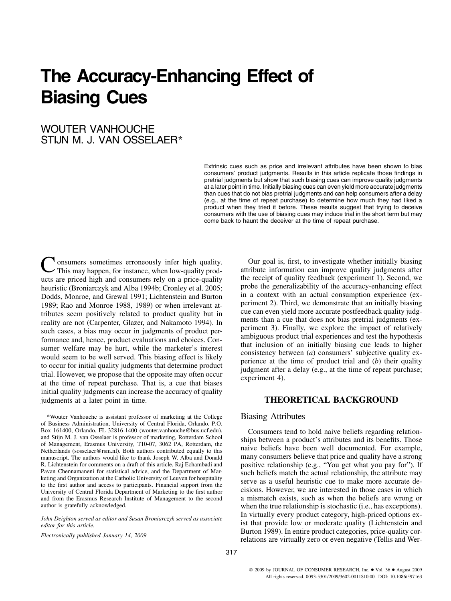# **The Accuracy-Enhancing Effect of Biasing Cues**

# WOUTER VANHOUCHE STIJN M. J. VAN OSSELAER\*

Extrinsic cues such as price and irrelevant attributes have been shown to bias consumers' product judgments. Results in this article replicate those findings in pretrial judgments but show that such biasing cues can improve quality judgments at a later point in time. Initially biasing cues can even yield more accurate judgments than cues that do not bias pretrial judgments and can help consumers after a delay (e.g., at the time of repeat purchase) to determine how much they had liked a product when they tried it before. These results suggest that trying to deceive consumers with the use of biasing cues may induce trial in the short term but may come back to haunt the deceiver at the time of repeat purchase.

Consumers sometimes erroneously infer high quality.<br>
This may happen, for instance, when low-quality products are priced high and consumers rely on a price-quality heuristic (Broniarczyk and Alba 1994b; Cronley et al. 2005; Dodds, Monroe, and Grewal 1991; Lichtenstein and Burton 1989; Rao and Monroe 1988, 1989) or when irrelevant attributes seem positively related to product quality but in reality are not (Carpenter, Glazer, and Nakamoto 1994). In such cases, a bias may occur in judgments of product performance and, hence, product evaluations and choices. Consumer welfare may be hurt, while the marketer's interest would seem to be well served. This biasing effect is likely to occur for initial quality judgments that determine product trial. However, we propose that the opposite may often occur at the time of repeat purchase. That is, a cue that biases initial quality judgments can increase the accuracy of quality judgments at a later point in time.

\*Wouter Vanhouche is assistant professor of marketing at the College of Business Administration, University of Central Florida, Orlando, P.O. Box 161400, Orlando, FL 32816-1400 (wouter.vanhouche@bus.ucf.edu), and Stijn M. J. van Osselaer is professor of marketing, Rotterdam School of Management, Erasmus University, T10-07, 3062 PA, Rotterdam, the Netherlands (sosselaer@rsm.nl). Both authors contributed equally to this manuscript. The authors would like to thank Joseph W. Alba and Donald R. Lichtenstein for comments on a draft of this article, Raj Echambadi and Pavan Chennamaneni for statistical advice, and the Department of Marketing and Organization at the Catholic University of Leuven for hospitality to the first author and access to participants. Financial support from the University of Central Florida Department of Marketing to the first author and from the Erasmus Research Institute of Management to the second author is gratefully acknowledged.

*John Deighton served as editor and Susan Broniarczyk served as associate editor for this article.*

*Electronically published January 14, 2009*

Our goal is, first, to investigate whether initially biasing attribute information can improve quality judgments after the receipt of quality feedback (experiment 1). Second, we probe the generalizability of the accuracy-enhancing effect in a context with an actual consumption experience (experiment 2). Third, we demonstrate that an initially biasing cue can even yield more accurate postfeedback quality judgments than a cue that does not bias pretrial judgments (experiment 3). Finally, we explore the impact of relatively ambiguous product trial experiences and test the hypothesis that inclusion of an initially biasing cue leads to higher consistency between (*a*) consumers' subjective quality experience at the time of product trial and (*b*) their quality judgment after a delay (e.g., at the time of repeat purchase; experiment 4).

# **THEORETICAL BACKGROUND**

#### Biasing Attributes

Consumers tend to hold naive beliefs regarding relationships between a product's attributes and its benefits. Those naive beliefs have been well documented. For example, many consumers believe that price and quality have a strong positive relationship (e.g., "You get what you pay for"). If such beliefs match the actual relationship, the attribute may serve as a useful heuristic cue to make more accurate decisions. However, we are interested in those cases in which a mismatch exists, such as when the beliefs are wrong or when the true relationship is stochastic (i.e., has exceptions). In virtually every product category, high-priced options exist that provide low or moderate quality (Lichtenstein and Burton 1989). In entire product categories, price-quality correlations are virtually zero or even negative (Tellis and Wer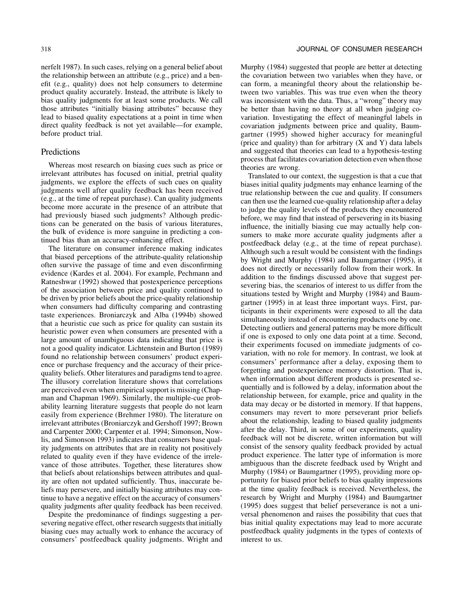nerfelt 1987). In such cases, relying on a general belief about the relationship between an attribute (e.g., price) and a benefit (e.g., quality) does not help consumers to determine product quality accurately. Instead, the attribute is likely to bias quality judgments for at least some products. We call those attributes "initially biasing attributes" because they lead to biased quality expectations at a point in time when direct quality feedback is not yet available—for example, before product trial.

# **Predictions**

Whereas most research on biasing cues such as price or irrelevant attributes has focused on initial, pretrial quality judgments, we explore the effects of such cues on quality judgments well after quality feedback has been received (e.g., at the time of repeat purchase). Can quality judgments become more accurate in the presence of an attribute that had previously biased such judgments? Although predictions can be generated on the basis of various literatures, the bulk of evidence is more sanguine in predicting a continued bias than an accuracy-enhancing effect.

The literature on consumer inference making indicates that biased perceptions of the attribute-quality relationship often survive the passage of time and even disconfirming evidence (Kardes et al. 2004). For example, Pechmann and Ratneshwar (1992) showed that postexperience perceptions of the association between price and quality continued to be driven by prior beliefs about the price-quality relationship when consumers had difficulty comparing and contrasting taste experiences. Broniarczyk and Alba (1994b) showed that a heuristic cue such as price for quality can sustain its heuristic power even when consumers are presented with a large amount of unambiguous data indicating that price is not a good quality indicator. Lichtenstein and Burton (1989) found no relationship between consumers' product experience or purchase frequency and the accuracy of their pricequality beliefs. Other literatures and paradigms tend to agree. The illusory correlation literature shows that correlations are perceived even when empirical support is missing (Chapman and Chapman 1969). Similarly, the multiple-cue probability learning literature suggests that people do not learn easily from experience (Brehmer 1980). The literature on irrelevant attributes (Broniarczyk and Gershoff 1997; Brown and Carpenter 2000; Carpenter et al. 1994; Simonson, Nowlis, and Simonson 1993) indicates that consumers base quality judgments on attributes that are in reality not positively related to quality even if they have evidence of the irrelevance of those attributes. Together, these literatures show that beliefs about relationships between attributes and quality are often not updated sufficiently. Thus, inaccurate beliefs may persevere, and initially biasing attributes may continue to have a negative effect on the accuracy of consumers' quality judgments after quality feedback has been received.

Despite the predominance of findings suggesting a persevering negative effect, other research suggests that initially biasing cues may actually work to enhance the accuracy of consumers' postfeedback quality judgments. Wright and

Murphy (1984) suggested that people are better at detecting the covariation between two variables when they have, or can form, a meaningful theory about the relationship between two variables. This was true even when the theory was inconsistent with the data. Thus, a "wrong" theory may be better than having no theory at all when judging covariation. Investigating the effect of meaningful labels in covariation judgments between price and quality, Baumgartner (1995) showed higher accuracy for meaningful (price and quality) than for arbitrary (X and Y) data labels and suggested that theories can lead to a hypothesis-testing process that facilitates covariation detection even when those theories are wrong.

Translated to our context, the suggestion is that a cue that biases initial quality judgments may enhance learning of the true relationship between the cue and quality. If consumers can then use the learned cue-quality relationship after a delay to judge the quality levels of the products they encountered before, we may find that instead of persevering in its biasing influence, the initially biasing cue may actually help consumers to make more accurate quality judgments after a postfeedback delay (e.g., at the time of repeat purchase). Although such a result would be consistent with the findings by Wright and Murphy (1984) and Baumgartner (1995), it does not directly or necessarily follow from their work. In addition to the findings discussed above that suggest persevering bias, the scenarios of interest to us differ from the situations tested by Wright and Murphy (1984) and Baumgartner (1995) in at least three important ways. First, participants in their experiments were exposed to all the data simultaneously instead of encountering products one by one. Detecting outliers and general patterns may be more difficult if one is exposed to only one data point at a time. Second, their experiments focused on immediate judgments of covariation, with no role for memory. In contrast, we look at consumers' performance after a delay, exposing them to forgetting and postexperience memory distortion. That is, when information about different products is presented sequentially and is followed by a delay, information about the relationship between, for example, price and quality in the data may decay or be distorted in memory. If that happens, consumers may revert to more perseverant prior beliefs about the relationship, leading to biased quality judgments after the delay. Third, in some of our experiments, quality feedback will not be discrete, written information but will consist of the sensory quality feedback provided by actual product experience. The latter type of information is more ambiguous than the discrete feedback used by Wright and Murphy (1984) or Baumgartner (1995), providing more opportunity for biased prior beliefs to bias quality impressions at the time quality feedback is received. Nevertheless, the research by Wright and Murphy (1984) and Baumgartner (1995) does suggest that belief perseverance is not a universal phenomenon and raises the possibility that cues that bias initial quality expectations may lead to more accurate postfeedback quality judgments in the types of contexts of interest to us.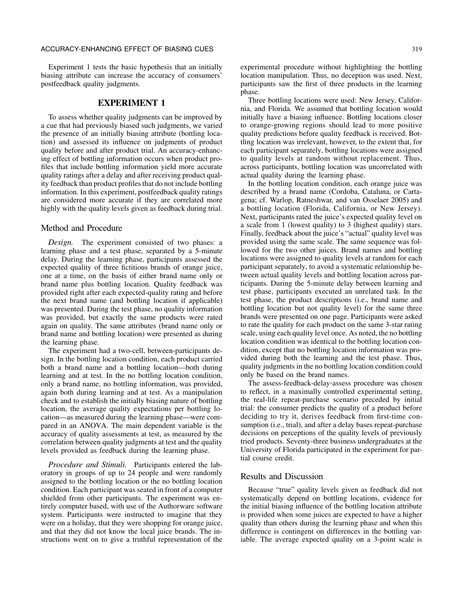#### ACCURACY-ENHANCING EFFECT OF BIASING CUES 319

Experiment 1 tests the basic hypothesis that an initially biasing attribute can increase the accuracy of consumers' postfeedback quality judgments.

#### **EXPERIMENT 1**

To assess whether quality judgments can be improved by a cue that had previously biased such judgments, we varied the presence of an initially biasing attribute (bottling location) and assessed its influence on judgments of product quality before and after product trial. An accuracy-enhancing effect of bottling information occurs when product profiles that include bottling information yield more accurate quality ratings after a delay and after receiving product quality feedback than product profiles that do not include bottling information. In this experiment, postfeedback quality ratings are considered more accurate if they are correlated more highly with the quality levels given as feedback during trial.

#### Method and Procedure

*Design.* The experiment consisted of two phases: a learning phase and a test phase, separated by a 5-minute delay. During the learning phase, participants assessed the expected quality of three fictitious brands of orange juice, one at a time, on the basis of either brand name only or brand name plus bottling location. Quality feedback was provided right after each expected-quality rating and before the next brand name (and bottling location if applicable) was presented. During the test phase, no quality information was provided, but exactly the same products were rated again on quality. The same attributes (brand name only or brand name and bottling location) were presented as during the learning phase.

The experiment had a two-cell, between-participants design. In the bottling location condition, each product carried both a brand name and a bottling location—both during learning and at test. In the no bottling location condition, only a brand name, no bottling information, was provided, again both during learning and at test. As a manipulation check and to establish the initially biasing nature of bottling location, the average quality expectations per bottling location—as measured during the learning phase—were compared in an ANOVA. The main dependent variable is the accuracy of quality assessments at test, as measured by the correlation between quality judgments at test and the quality levels provided as feedback during the learning phase.

*Procedure and Stimuli.* Participants entered the laboratory in groups of up to 24 people and were randomly assigned to the bottling location or the no bottling location condition. Each participant was seated in front of a computer shielded from other participants. The experiment was entirely computer based, with use of the Authorware software system. Participants were instructed to imagine that they were on a holiday, that they were shopping for orange juice, and that they did not know the local juice brands. The instructions went on to give a truthful representation of the

experimental procedure without highlighting the bottling location manipulation. Thus, no deception was used. Next, participants saw the first of three products in the learning phase.

Three bottling locations were used: New Jersey, California, and Florida. We assumed that bottling location would initially have a biasing influence. Bottling locations closer to orange-growing regions should lead to more positive quality predictions before quality feedback is received. Bottling location was irrelevant, however, to the extent that, for each participant separately, bottling locations were assigned to quality levels at random without replacement. Thus, across participants, bottling location was uncorrelated with actual quality during the learning phase.

In the bottling location condition, each orange juice was described by a brand name (Cordoba, Cataluna, or Cartagena; cf. Warlop, Ratneshwar, and van Osselaer 2005) and a bottling location (Florida, California, or New Jersey). Next, participants rated the juice's expected quality level on a scale from 1 (lowest quality) to 3 (highest quality) stars. Finally, feedback about the juice's "actual" quality level was provided using the same scale. The same sequence was followed for the two other juices. Brand names and bottling locations were assigned to quality levels at random for each participant separately, to avoid a systematic relationship between actual quality levels and bottling location across participants. During the 5-minute delay between learning and test phase, participants executed an unrelated task. In the test phase, the product descriptions (i.e., brand name and bottling location but not quality level) for the same three brands were presented on one page. Participants were asked to rate the quality for each product on the same 3-star rating scale, using each quality level once. As noted, the no bottling location condition was identical to the bottling location condition, except that no bottling location information was provided during both the learning and the test phase. Thus, quality judgments in the no bottling location condition could only be based on the brand names.

The assess-feedback-delay-assess procedure was chosen to reflect, in a maximally controlled experimental setting, the real-life repeat-purchase scenario preceded by initial trial: the consumer predicts the quality of a product before deciding to try it, derives feedback from first-time consumption (i.e., trial), and after a delay bases repeat-purchase decisions on perceptions of the quality levels of previously tried products. Seventy-three business undergraduates at the University of Florida participated in the experiment for partial course credit.

#### Results and Discussion

Because "true" quality levels given as feedback did not systematically depend on bottling locations, evidence for the initial biasing influence of the bottling location attribute is provided when some juices are expected to have a higher quality than others during the learning phase and when this difference is contingent on differences in the bottling variable. The average expected quality on a 3-point scale is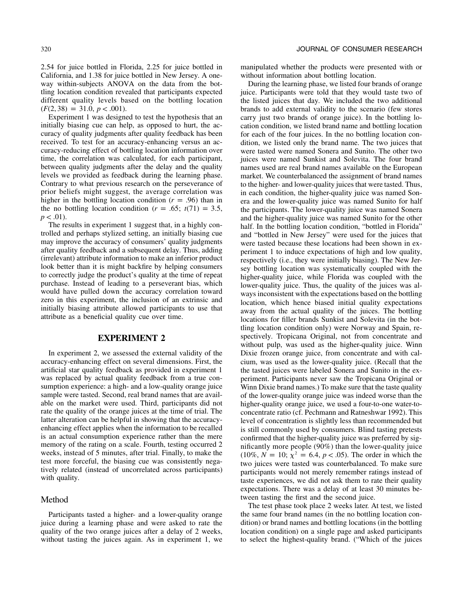Experiment 1 was designed to test the hypothesis that an initially biasing cue can help, as opposed to hurt, the accuracy of quality judgments after quality feedback has been received. To test for an accuracy-enhancing versus an accuracy-reducing effect of bottling location information over time, the correlation was calculated, for each participant, between quality judgments after the delay and the quality levels we provided as feedback during the learning phase. Contrary to what previous research on the perseverance of prior beliefs might suggest, the average correlation was higher in the bottling location condition  $(r = .96)$  than in the no bottling location condition  $(r = .65; t(71) = 3.5,$  $p < .01$ ).

The results in experiment 1 suggest that, in a highly controlled and perhaps stylized setting, an initially biasing cue may improve the accuracy of consumers' quality judgments after quality feedback and a subsequent delay. Thus, adding (irrelevant) attribute information to make an inferior product look better than it is might backfire by helping consumers to correctly judge the product's quality at the time of repeat purchase. Instead of leading to a perseverant bias, which would have pulled down the accuracy correlation toward zero in this experiment, the inclusion of an extrinsic and initially biasing attribute allowed participants to use that attribute as a beneficial quality cue over time.

# **EXPERIMENT 2**

In experiment 2, we assessed the external validity of the accuracy-enhancing effect on several dimensions. First, the artificial star quality feedback as provided in experiment 1 was replaced by actual quality feedback from a true consumption experience: a high- and a low-quality orange juice sample were tasted. Second, real brand names that are available on the market were used. Third, participants did not rate the quality of the orange juices at the time of trial. The latter alteration can be helpful in showing that the accuracyenhancing effect applies when the information to be recalled is an actual consumption experience rather than the mere memory of the rating on a scale. Fourth, testing occurred 2 weeks, instead of 5 minutes, after trial. Finally, to make the test more forceful, the biasing cue was consistently negatively related (instead of uncorrelated across participants) with quality.

#### Method

Participants tasted a higher- and a lower-quality orange juice during a learning phase and were asked to rate the quality of the two orange juices after a delay of 2 weeks, without tasting the juices again. As in experiment 1, we

manipulated whether the products were presented with or without information about bottling location.

During the learning phase, we listed four brands of orange juice. Participants were told that they would taste two of the listed juices that day. We included the two additional brands to add external validity to the scenario (few stores carry just two brands of orange juice). In the bottling location condition, we listed brand name and bottling location for each of the four juices. In the no bottling location condition, we listed only the brand name. The two juices that were tasted were named Sonera and Sunito. The other two juices were named Sunkist and Solevita. The four brand names used are real brand names available on the European market. We counterbalanced the assignment of brand names to the higher- and lower-quality juices that were tasted. Thus, in each condition, the higher-quality juice was named Sonera and the lower-quality juice was named Sunito for half the participants. The lower-quality juice was named Sonera and the higher-quality juice was named Sunito for the other half. In the bottling location condition, "bottled in Florida" and "bottled in New Jersey" were used for the juices that were tasted because these locations had been shown in experiment 1 to induce expectations of high and low quality, respectively (i.e., they were initially biasing). The New Jersey bottling location was systematically coupled with the higher-quality juice, while Florida was coupled with the lower-quality juice. Thus, the quality of the juices was always inconsistent with the expectations based on the bottling location, which hence biased initial quality expectations away from the actual quality of the juices. The bottling locations for filler brands Sunkist and Solevita (in the bottling location condition only) were Norway and Spain, respectively. Tropicana Original, not from concentrate and without pulp, was used as the higher-quality juice. Winn Dixie frozen orange juice, from concentrate and with calcium, was used as the lower-quality juice. (Recall that the the tasted juices were labeled Sonera and Sunito in the experiment. Participants never saw the Tropicana Original or Winn Dixie brand names.) To make sure that the taste quality of the lower-quality orange juice was indeed worse than the higher-quality orange juice, we used a four-to-one water-toconcentrate ratio (cf. Pechmann and Ratneshwar 1992). This level of concentration is slightly less than recommended but is still commonly used by consumers. Blind tasting pretests confirmed that the higher-quality juice was preferred by significantly more people (90%) than the lower-quality juice  $(10\%, N = 10; \chi^2 = 6.4, p < .05)$ . The order in which the two juices were tasted was counterbalanced. To make sure participants would not merely remember ratings instead of taste experiences, we did not ask them to rate their quality expectations. There was a delay of at least 30 minutes between tasting the first and the second juice.

The test phase took place 2 weeks later. At test, we listed the same four brand names (in the no bottling location condition) or brand names and bottling locations (in the bottling location condition) on a single page and asked participants to select the highest-quality brand. ("Which of the juices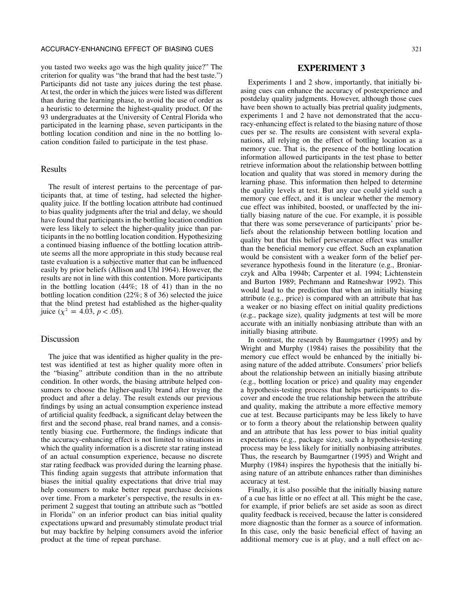#### ACCURACY-ENHANCING EFFECT OF BIASING CUES 321

you tasted two weeks ago was the high quality juice?" The criterion for quality was "the brand that had the best taste.") Participants did not taste any juices during the test phase. At test, the order in which the juices were listed was different than during the learning phase, to avoid the use of order as a heuristic to determine the highest-quality product. Of the 93 undergraduates at the University of Central Florida who participated in the learning phase, seven participants in the bottling location condition and nine in the no bottling location condition failed to participate in the test phase.

#### Results

The result of interest pertains to the percentage of participants that, at time of testing, had selected the higherquality juice. If the bottling location attribute had continued to bias quality judgments after the trial and delay, we should have found that participants in the bottling location condition were less likely to select the higher-quality juice than participants in the no bottling location condition. Hypothesizing a continued biasing influence of the bottling location attribute seems all the more appropriate in this study because real taste evaluation is a subjective matter that can be influenced easily by prior beliefs (Allison and Uhl 1964). However, the results are not in line with this contention. More participants in the bottling location  $(44\%; 18 \text{ of } 41)$  than in the no bottling location condition (22%; 8 of 36) selected the juice that the blind pretest had established as the higher-quality juice ( $\chi^2 = 4.03$ ,  $p < .05$ ).

# Discussion

The juice that was identified as higher quality in the pretest was identified at test as higher quality more often in the "biasing" attribute condition than in the no attribute condition. In other words, the biasing attribute helped consumers to choose the higher-quality brand after trying the product and after a delay. The result extends our previous findings by using an actual consumption experience instead of artificial quality feedback, a significant delay between the first and the second phase, real brand names, and a consistently biasing cue. Furthermore, the findings indicate that the accuracy-enhancing effect is not limited to situations in which the quality information is a discrete star rating instead of an actual consumption experience, because no discrete star rating feedback was provided during the learning phase. This finding again suggests that attribute information that biases the initial quality expectations that drive trial may help consumers to make better repeat purchase decisions over time. From a marketer's perspective, the results in experiment 2 suggest that touting an attribute such as "bottled in Florida" on an inferior product can bias initial quality expectations upward and presumably stimulate product trial but may backfire by helping consumers avoid the inferior product at the time of repeat purchase.

# **EXPERIMENT 3**

Experiments 1 and 2 show, importantly, that initially biasing cues can enhance the accuracy of postexperience and postdelay quality judgments. However, although those cues have been shown to actually bias pretrial quality judgments, experiments 1 and 2 have not demonstrated that the accuracy-enhancing effect is related to the biasing nature of those cues per se. The results are consistent with several explanations, all relying on the effect of bottling location as a memory cue. That is, the presence of the bottling location information allowed participants in the test phase to better retrieve information about the relationship between bottling location and quality that was stored in memory during the learning phase. This information then helped to determine the quality levels at test. But any cue could yield such a memory cue effect, and it is unclear whether the memory cue effect was inhibited, boosted, or unaffected by the initially biasing nature of the cue. For example, it is possible that there was some perseverance of participants' prior beliefs about the relationship between bottling location and quality but that this belief perseverance effect was smaller than the beneficial memory cue effect. Such an explanation would be consistent with a weaker form of the belief perseverance hypothesis found in the literature (e.g., Broniarczyk and Alba 1994b; Carpenter et al. 1994; Lichtenstein and Burton 1989; Pechmann and Ratneshwar 1992). This would lead to the prediction that when an initially biasing attribute (e.g., price) is compared with an attribute that has a weaker or no biasing effect on initial quality predictions (e.g., package size), quality judgments at test will be more accurate with an initially nonbiasing attribute than with an initially biasing attribute.

In contrast, the research by Baumgartner (1995) and by Wright and Murphy (1984) raises the possibility that the memory cue effect would be enhanced by the initially biasing nature of the added attribute. Consumers' prior beliefs about the relationship between an initially biasing attribute (e.g., bottling location or price) and quality may engender a hypothesis-testing process that helps participants to discover and encode the true relationship between the attribute and quality, making the attribute a more effective memory cue at test. Because participants may be less likely to have or to form a theory about the relationship between quality and an attribute that has less power to bias initial quality expectations (e.g., package size), such a hypothesis-testing process may be less likely for initially nonbiasing attributes. Thus, the research by Baumgartner (1995) and Wright and Murphy (1984) inspires the hypothesis that the initially biasing nature of an attribute enhances rather than diminishes accuracy at test.

Finally, it is also possible that the initially biasing nature of a cue has little or no effect at all. This might be the case, for example, if prior beliefs are set aside as soon as direct quality feedback is received, because the latter is considered more diagnostic than the former as a source of information. In this case, only the basic beneficial effect of having an additional memory cue is at play, and a null effect on ac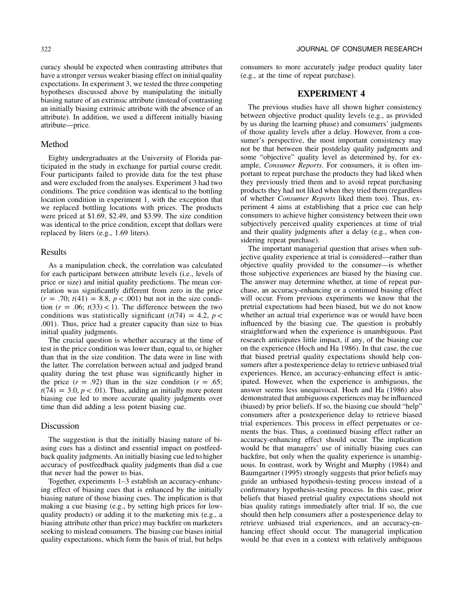curacy should be expected when contrasting attributes that have a stronger versus weaker biasing effect on initial quality expectations. In experiment 3, we tested the three competing hypotheses discussed above by manipulating the initially biasing nature of an extrinsic attribute (instead of contrasting an initially biasing extrinsic attribute with the absence of an attribute). In addition, we used a different initially biasing attribute—price.

#### Method

Eighty undergraduates at the University of Florida participated in the study in exchange for partial course credit. Four participants failed to provide data for the test phase and were excluded from the analyses. Experiment 3 had two conditions. The price condition was identical to the bottling location condition in experiment 1, with the exception that we replaced bottling locations with prices. The products were priced at \$1.69, \$2.49, and \$3.99. The size condition was identical to the price condition, except that dollars were replaced by liters (e.g., 1.69 liters).

#### Results

As a manipulation check, the correlation was calculated for each participant between attribute levels (i.e., levels of price or size) and initial quality predictions. The mean correlation was significantly different from zero in the price  $(r = .70; t(41) = 8.8, p < .001)$  but not in the size condition  $(r = .06; t(33) < 1)$ . The difference between the two conditions was statistically significant  $(t/74) = 4.2$ ,  $p <$ .001). Thus, price had a greater capacity than size to bias initial quality judgments.

The crucial question is whether accuracy at the time of test in the price condition was lower than, equal to, or higher than that in the size condition. The data were in line with the latter. The correlation between actual and judged brand quality during the test phase was significantly higher in the price  $(r = .92)$  than in the size condition  $(r = .65)$ ;  $t(74) = 3.0, p < .01$ . Thus, adding an initially more potent biasing cue led to more accurate quality judgments over time than did adding a less potent biasing cue.

#### Discussion

The suggestion is that the initially biasing nature of biasing cues has a distinct and essential impact on postfeedback quality judgments. An initially biasing cue led to higher accuracy of postfeedback quality judgments than did a cue that never had the power to bias.

Together, experiments 1–3 establish an accuracy-enhancing effect of biasing cues that is enhanced by the initially biasing nature of those biasing cues. The implication is that making a cue biasing (e.g., by setting high prices for lowquality products) or adding it to the marketing mix (e.g., a biasing attribute other than price) may backfire on marketers seeking to mislead consumers. The biasing cue biases initial quality expectations, which form the basis of trial, but helps consumers to more accurately judge product quality later (e.g., at the time of repeat purchase).

# **EXPERIMENT 4**

The previous studies have all shown higher consistency between objective product quality levels (e.g., as provided by us during the learning phase) and consumers' judgments of those quality levels after a delay. However, from a consumer's perspective, the most important consistency may not be that between their postdelay quality judgments and some "objective" quality level as determined by, for example, *Consumer Reports*. For consumers, it is often important to repeat purchase the products they had liked when they previously tried them and to avoid repeat purchasing products they had not liked when they tried them (regardless of whether *Consumer Reports* liked them too). Thus, experiment 4 aims at establishing that a price cue can help consumers to achieve higher consistency between their own subjectively perceived quality experiences at time of trial and their quality judgments after a delay (e.g., when considering repeat purchase).

The important managerial question that arises when subjective quality experience at trial is considered—rather than objective quality provided to the consumer—is whether those subjective experiences are biased by the biasing cue. The answer may determine whether, at time of repeat purchase, an accuracy-enhancing or a continued biasing effect will occur. From previous experiments we know that the pretrial expectations had been biased, but we do not know whether an actual trial experience was or would have been influenced by the biasing cue. The question is probably straightforward when the experience is unambiguous. Past research anticipates little impact, if any, of the biasing cue on the experience (Hoch and Ha 1986). In that case, the cue that biased pretrial quality expectations should help consumers after a postexperience delay to retrieve unbiased trial experiences. Hence, an accuracy-enhancing effect is anticipated. However, when the experience is ambiguous, the answer seems less unequivocal. Hoch and Ha (1986) also demonstrated that ambiguous experiences may be influenced (biased) by prior beliefs. If so, the biasing cue should "help" consumers after a postexperience delay to retrieve biased trial experiences. This process in effect perpetuates or cements the bias. Thus, a continued biasing effect rather an accuracy-enhancing effect should occur. The implication would be that managers' use of initially biasing cues can backfire, but only when the quality experience is unambiguous. In contrast, work by Wright and Murphy (1984) and Baumgartner (1995) strongly suggests that prior beliefs may guide an unbiased hypothesis-testing process instead of a confirmatory hypothesis-testing process. In this case, prior beliefs that biased pretrial quality expectations should not bias quality ratings immediately after trial. If so, the cue should then help consumers after a postexperience delay to retrieve unbiased trial experiences, and an accuracy-enhancing effect should occur. The managerial implication would be that even in a context with relatively ambiguous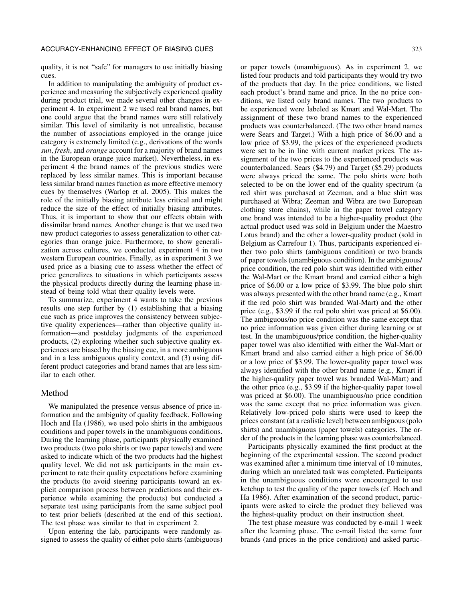quality, it is not "safe" for managers to use initially biasing cues.

In addition to manipulating the ambiguity of product experience and measuring the subjectively experienced quality during product trial, we made several other changes in experiment 4. In experiment 2 we used real brand names, but one could argue that the brand names were still relatively similar. This level of similarity is not unrealistic, because the number of associations employed in the orange juice category is extremely limited (e.g., derivations of the words *sun*, *fresh*, and *orange* account for a majority of brand names in the European orange juice market). Nevertheless, in experiment 4 the brand names of the previous studies were replaced by less similar names. This is important because less similar brand names function as more effective memory cues by themselves (Warlop et al. 2005). This makes the role of the initially biasing attribute less critical and might reduce the size of the effect of initially biasing attributes. Thus, it is important to show that our effects obtain with dissimilar brand names. Another change is that we used two new product categories to assess generalization to other categories than orange juice. Furthermore, to show generalization across cultures, we conducted experiment 4 in two western European countries. Finally, as in experiment 3 we used price as a biasing cue to assess whether the effect of price generalizes to situations in which participants assess the physical products directly during the learning phase instead of being told what their quality levels were.

To summarize, experiment 4 wants to take the previous results one step further by (1) establishing that a biasing cue such as price improves the consistency between subjective quality experiences—rather than objective quality information—and postdelay judgments of the experienced products, (2) exploring whether such subjective quality experiences are biased by the biasing cue, in a more ambiguous and in a less ambiguous quality context, and (3) using different product categories and brand names that are less similar to each other.

#### Method

We manipulated the presence versus absence of price information and the ambiguity of quality feedback. Following Hoch and Ha (1986), we used polo shirts in the ambiguous conditions and paper towels in the unambiguous conditions. During the learning phase, participants physically examined two products (two polo shirts or two paper towels) and were asked to indicate which of the two products had the highest quality level. We did not ask participants in the main experiment to rate their quality expectations before examining the products (to avoid steering participants toward an explicit comparison process between predictions and their experience while examining the products) but conducted a separate test using participants from the same subject pool to test prior beliefs (described at the end of this section). The test phase was similar to that in experiment 2.

Upon entering the lab, participants were randomly assigned to assess the quality of either polo shirts (ambiguous) or paper towels (unambiguous). As in experiment 2, we listed four products and told participants they would try two of the products that day. In the price conditions, we listed each product's brand name and price. In the no price conditions, we listed only brand names. The two products to be experienced were labeled as Kmart and Wal-Mart. The assignment of these two brand names to the experienced products was counterbalanced. (The two other brand names were Sears and Target.) With a high price of \$6.00 and a low price of \$3.99, the prices of the experienced products were set to be in line with current market prices. The assignment of the two prices to the experienced products was counterbalanced. Sears (\$4.79) and Target (\$5.29) products were always priced the same. The polo shirts were both selected to be on the lower end of the quality spectrum (a red shirt was purchased at Zeeman, and a blue shirt was purchased at Wibra; Zeeman and Wibra are two European clothing store chains), while in the paper towel category one brand was intended to be a higher-quality product (the actual product used was sold in Belgium under the Maestro Lotus brand) and the other a lower-quality product (sold in Belgium as Carrefour 1). Thus, participants experienced either two polo shirts (ambiguous condition) or two brands of paper towels (unambiguous condition). In the ambiguous/ price condition, the red polo shirt was identified with either the Wal-Mart or the Kmart brand and carried either a high price of \$6.00 or a low price of \$3.99. The blue polo shirt was always presented with the other brand name (e.g., Kmart if the red polo shirt was branded Wal-Mart) and the other price (e.g., \$3.99 if the red polo shirt was priced at \$6.00). The ambiguous/no price condition was the same except that no price information was given either during learning or at test. In the unambiguous/price condition, the higher-quality paper towel was also identified with either the Wal-Mart or Kmart brand and also carried either a high price of \$6.00 or a low price of \$3.99. The lower-quality paper towel was always identified with the other brand name (e.g., Kmart if the higher-quality paper towel was branded Wal-Mart) and the other price (e.g., \$3.99 if the higher-quality paper towel was priced at \$6.00). The unambiguous/no price condition was the same except that no price information was given. Relatively low-priced polo shirts were used to keep the prices constant (at a realistic level) between ambiguous (polo shirts) and unambiguous (paper towels) categories. The order of the products in the learning phase was counterbalanced.

Participants physically examined the first product at the beginning of the experimental session. The second product was examined after a minimum time interval of 10 minutes, during which an unrelated task was completed. Participants in the unambiguous conditions were encouraged to use ketchup to test the quality of the paper towels (cf. Hoch and Ha 1986). After examination of the second product, participants were asked to circle the product they believed was the highest-quality product on their instruction sheet.

The test phase measure was conducted by e-mail 1 week after the learning phase. The e-mail listed the same four brands (and prices in the price condition) and asked partic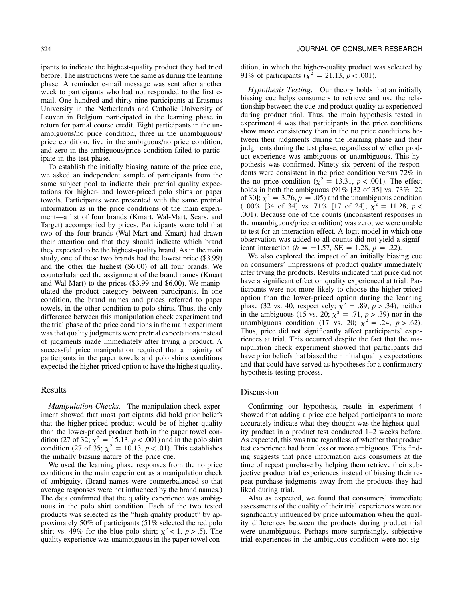ipants to indicate the highest-quality product they had tried before. The instructions were the same as during the learning phase. A reminder e-mail message was sent after another week to participants who had not responded to the first email. One hundred and thirty-nine participants at Erasmus University in the Netherlands and Catholic University of Leuven in Belgium participated in the learning phase in return for partial course credit. Eight participants in the unambiguous/no price condition, three in the unambiguous/ price condition, five in the ambiguous/no price condition, and zero in the ambiguous/price condition failed to participate in the test phase.

To establish the initially biasing nature of the price cue, we asked an independent sample of participants from the same subject pool to indicate their pretrial quality expectations for higher- and lower-priced polo shirts or paper towels. Participants were presented with the same pretrial information as in the price conditions of the main experiment—a list of four brands (Kmart, Wal-Mart, Sears, and Target) accompanied by prices. Participants were told that two of the four brands (Wal-Mart and Kmart) had drawn their attention and that they should indicate which brand they expected to be the highest-quality brand. As in the main study, one of these two brands had the lowest price (\$3.99) and the other the highest (\$6.00) of all four brands. We counterbalanced the assignment of the brand names (Kmart and Wal-Mart) to the prices (\$3.99 and \$6.00). We manipulated the product category between participants. In one condition, the brand names and prices referred to paper towels, in the other condition to polo shirts. Thus, the only difference between this manipulation check experiment and the trial phase of the price conditions in the main experiment was that quality judgments were pretrial expectations instead of judgments made immediately after trying a product. A successful price manipulation required that a majority of participants in the paper towels and polo shirts conditions expected the higher-priced option to have the highest quality.

# Results

*Manipulation Checks.* The manipulation check experiment showed that most participants did hold prior beliefs that the higher-priced product would be of higher quality than the lower-priced product both in the paper towel condition (27 of 32;  $\chi^2 = 15.13$ ,  $p < .001$ ) and in the polo shirt condition (27 of 35;  $\chi^2 = 10.13$ ,  $p < .01$ ). This establishes the initially biasing nature of the price cue.

We used the learning phase responses from the no price conditions in the main experiment as a manipulation check of ambiguity. (Brand names were counterbalanced so that average responses were not influenced by the brand names.) The data confirmed that the quality experience was ambiguous in the polo shirt condition. Each of the two tested products was selected as the "high quality product" by approximately 50% of participants (51% selected the red polo shirt vs. 49% for the blue polo shirt;  $\chi^2$  < 1, *p* > .5). The quality experience was unambiguous in the paper towel condition, in which the higher-quality product was selected by 91% of participants ( $\chi^2 = 21.13$ ,  $p < .001$ ).

*Hypothesis Testing.* Our theory holds that an initially biasing cue helps consumers to retrieve and use the relationship between the cue and product quality as experienced during product trial. Thus, the main hypothesis tested in experiment 4 was that participants in the price conditions show more consistency than in the no price conditions between their judgments during the learning phase and their judgments during the test phase, regardless of whether product experience was ambiguous or unambiguous. This hypothesis was confirmed. Ninety-six percent of the respondents were consistent in the price condition versus 72% in the no price condition ( $\chi^2 = 13.31$ ,  $p < .001$ ). The effect holds in both the ambiguous  $(91\%$  [32 of 35] vs. 73% [22] of 30];  $\chi^2 = 3.76$ ,  $p = .05$ ) and the unambiguous condition  $(100\%$  [34 of 34] vs. 71% [17 of 24];  $\chi^2 = 11.28$ ,  $p <$ .001). Because one of the counts (inconsistent responses in the unambiguous/price condition) was zero, we were unable to test for an interaction effect. A logit model in which one observation was added to all counts did not yield a significant interaction ( $b = -1.57$ , SE = 1.28,  $p = .22$ ).

We also explored the impact of an initially biasing cue on consumers' impressions of product quality immediately after trying the products. Results indicated that price did not have a significant effect on quality experienced at trial. Participants were not more likely to choose the higher-priced option than the lower-priced option during the learning phase (32 vs. 40, respectively;  $\chi^2 = .89$ ,  $p > .34$ ), neither in the ambiguous (15 vs. 20;  $\chi^2 = .71$ ,  $p > .39$ ) nor in the unambiguous condition (17 vs. 20;  $\chi^2 = .24$ ,  $p > .62$ ). Thus, price did not significantly affect participants' experiences at trial. This occurred despite the fact that the manipulation check experiment showed that participants did have prior beliefs that biased their initial quality expectations and that could have served as hypotheses for a confirmatory hypothesis-testing process.

#### **Discussion**

Confirming our hypothesis, results in experiment 4 showed that adding a price cue helped participants to more accurately indicate what they thought was the highest-quality product in a product test conducted 1–2 weeks before. As expected, this was true regardless of whether that product test experience had been less or more ambiguous. This finding suggests that price information aids consumers at the time of repeat purchase by helping them retrieve their subjective product trial experiences instead of biasing their repeat purchase judgments away from the products they had liked during trial.

Also as expected, we found that consumers' immediate assessments of the quality of their trial experiences were not significantly influenced by price information when the quality differences between the products during product trial were unambiguous. Perhaps more surprisingly, subjective trial experiences in the ambiguous condition were not sig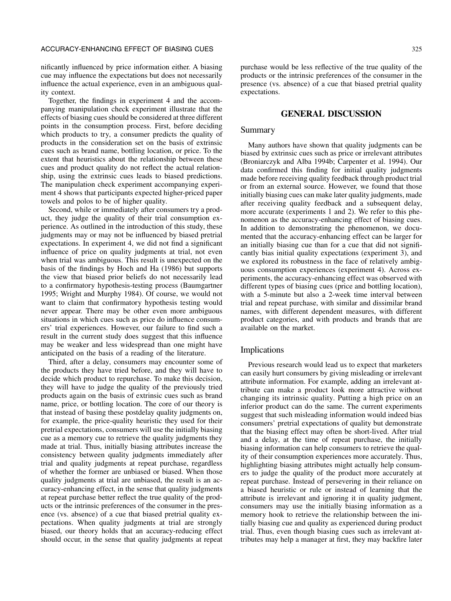nificantly influenced by price information either. A biasing cue may influence the expectations but does not necessarily influence the actual experience, even in an ambiguous quality context.

Together, the findings in experiment 4 and the accompanying manipulation check experiment illustrate that the effects of biasing cues should be considered at three different points in the consumption process. First, before deciding which products to try, a consumer predicts the quality of products in the consideration set on the basis of extrinsic cues such as brand name, bottling location, or price. To the extent that heuristics about the relationship between these cues and product quality do not reflect the actual relationship, using the extrinsic cues leads to biased predictions. The manipulation check experiment accompanying experiment 4 shows that participants expected higher-priced paper towels and polos to be of higher quality.

Second, while or immediately after consumers try a product, they judge the quality of their trial consumption experience. As outlined in the introduction of this study, these judgments may or may not be influenced by biased pretrial expectations. In experiment 4, we did not find a significant influence of price on quality judgments at trial, not even when trial was ambiguous. This result is unexpected on the basis of the findings by Hoch and Ha (1986) but supports the view that biased prior beliefs do not necessarily lead to a confirmatory hypothesis-testing process (Baumgartner 1995; Wright and Murphy 1984). Of course, we would not want to claim that confirmatory hypothesis testing would never appear. There may be other even more ambiguous situations in which cues such as price do influence consumers' trial experiences. However, our failure to find such a result in the current study does suggest that this influence may be weaker and less widespread than one might have anticipated on the basis of a reading of the literature.

Third, after a delay, consumers may encounter some of the products they have tried before, and they will have to decide which product to repurchase. To make this decision, they will have to judge the quality of the previously tried products again on the basis of extrinsic cues such as brand name, price, or bottling location. The core of our theory is that instead of basing these postdelay quality judgments on, for example, the price-quality heuristic they used for their pretrial expectations, consumers will use the initially biasing cue as a memory cue to retrieve the quality judgments they made at trial. Thus, initially biasing attributes increase the consistency between quality judgments immediately after trial and quality judgments at repeat purchase, regardless of whether the former are unbiased or biased. When those quality judgments at trial are unbiased, the result is an accuracy-enhancing effect, in the sense that quality judgments at repeat purchase better reflect the true quality of the products or the intrinsic preferences of the consumer in the presence (vs. absence) of a cue that biased pretrial quality expectations. When quality judgments at trial are strongly biased, our theory holds that an accuracy-reducing effect should occur, in the sense that quality judgments at repeat purchase would be less reflective of the true quality of the products or the intrinsic preferences of the consumer in the presence (vs. absence) of a cue that biased pretrial quality expectations.

#### **GENERAL DISCUSSION**

#### Summary

Many authors have shown that quality judgments can be biased by extrinsic cues such as price or irrelevant attributes (Broniarczyk and Alba 1994b; Carpenter et al. 1994). Our data confirmed this finding for initial quality judgments made before receiving quality feedback through product trial or from an external source. However, we found that those initially biasing cues can make later quality judgments, made after receiving quality feedback and a subsequent delay, more accurate (experiments 1 and 2). We refer to this phenomenon as the accuracy-enhancing effect of biasing cues. In addition to demonstrating the phenomenon, we documented that the accuracy-enhancing effect can be larger for an initially biasing cue than for a cue that did not significantly bias initial quality expectations (experiment 3), and we explored its robustness in the face of relatively ambiguous consumption experiences (experiment 4). Across experiments, the accuracy-enhancing effect was observed with different types of biasing cues (price and bottling location), with a 5-minute but also a 2-week time interval between trial and repeat purchase, with similar and dissimilar brand names, with different dependent measures, with different product categories, and with products and brands that are available on the market.

#### Implications

Previous research would lead us to expect that marketers can easily hurt consumers by giving misleading or irrelevant attribute information. For example, adding an irrelevant attribute can make a product look more attractive without changing its intrinsic quality. Putting a high price on an inferior product can do the same. The current experiments suggest that such misleading information would indeed bias consumers' pretrial expectations of quality but demonstrate that the biasing effect may often be short-lived. After trial and a delay, at the time of repeat purchase, the initially biasing information can help consumers to retrieve the quality of their consumption experiences more accurately. Thus, highlighting biasing attributes might actually help consumers to judge the quality of the product more accurately at repeat purchase. Instead of persevering in their reliance on a biased heuristic or rule or instead of learning that the attribute is irrelevant and ignoring it in quality judgment, consumers may use the initially biasing information as a memory hook to retrieve the relationship between the initially biasing cue and quality as experienced during product trial. Thus, even though biasing cues such as irrelevant attributes may help a manager at first, they may backfire later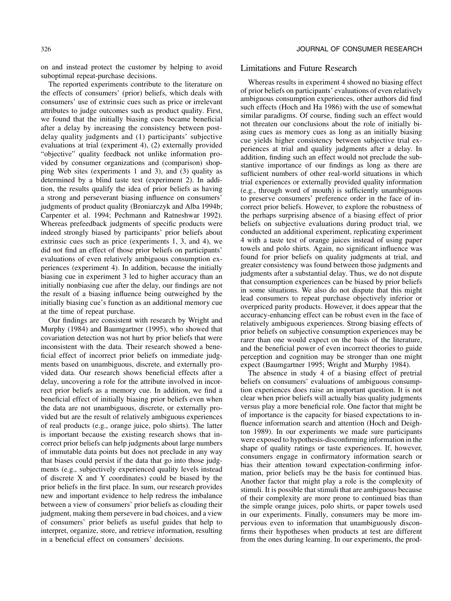on and instead protect the customer by helping to avoid suboptimal repeat-purchase decisions.

The reported experiments contribute to the literature on the effects of consumers' (prior) beliefs, which deals with consumers' use of extrinsic cues such as price or irrelevant attributes to judge outcomes such as product quality. First, we found that the initially biasing cues became beneficial after a delay by increasing the consistency between postdelay quality judgments and (1) participants' subjective evaluations at trial (experiment 4), (2) externally provided "objective" quality feedback not unlike information provided by consumer organizations and (comparison) shopping Web sites (experiments 1 and 3), and (3) quality as determined by a blind taste test (experiment 2). In addition, the results qualify the idea of prior beliefs as having a strong and perseverant biasing influence on consumers' judgments of product quality (Broniarczyk and Alba 1994b; Carpenter et al. 1994; Pechmann and Ratneshwar 1992). Whereas prefeedback judgments of specific products were indeed strongly biased by participants' prior beliefs about extrinsic cues such as price (experiments 1, 3, and 4), we did not find an effect of those prior beliefs on participants' evaluations of even relatively ambiguous consumption experiences (experiment 4). In addition, because the initially biasing cue in experiment 3 led to higher accuracy than an initially nonbiasing cue after the delay, our findings are not the result of a biasing influence being outweighed by the initially biasing cue's function as an additional memory cue at the time of repeat purchase.

Our findings are consistent with research by Wright and Murphy (1984) and Baumgartner (1995), who showed that covariation detection was not hurt by prior beliefs that were inconsistent with the data. Their research showed a beneficial effect of incorrect prior beliefs on immediate judgments based on unambiguous, discrete, and externally provided data. Our research shows beneficial effects after a delay, uncovering a role for the attribute involved in incorrect prior beliefs as a memory cue. In addition, we find a beneficial effect of initially biasing prior beliefs even when the data are not unambiguous, discrete, or externally provided but are the result of relatively ambiguous experiences of real products (e.g., orange juice, polo shirts). The latter is important because the existing research shows that incorrect prior beliefs can help judgments about large numbers of immutable data points but does not preclude in any way that biases could persist if the data that go into those judgments (e.g., subjectively experienced quality levels instead of discrete X and Y coordinates) could be biased by the prior beliefs in the first place. In sum, our research provides new and important evidence to help redress the imbalance between a view of consumers' prior beliefs as clouding their judgment, making them persevere in bad choices, and a view of consumers' prior beliefs as useful guides that help to interpret, organize, store, and retrieve information, resulting in a beneficial effect on consumers' decisions.

# Limitations and Future Research

Whereas results in experiment 4 showed no biasing effect of prior beliefs on participants' evaluations of even relatively ambiguous consumption experiences, other authors did find such effects (Hoch and Ha 1986) with the use of somewhat similar paradigms. Of course, finding such an effect would not threaten our conclusions about the role of initially biasing cues as memory cues as long as an initially biasing cue yields higher consistency between subjective trial experiences at trial and quality judgments after a delay. In addition, finding such an effect would not preclude the substantive importance of our findings as long as there are sufficient numbers of other real-world situations in which trial experiences or externally provided quality information (e.g., through word of mouth) is sufficiently unambiguous to preserve consumers' preference order in the face of incorrect prior beliefs. However, to explore the robustness of the perhaps surprising absence of a biasing effect of prior beliefs on subjective evaluations during product trial, we conducted an additional experiment, replicating experiment 4 with a taste test of orange juices instead of using paper towels and polo shirts. Again, no significant influence was found for prior beliefs on quality judgments at trial, and greater consistency was found between those judgments and judgments after a substantial delay. Thus, we do not dispute that consumption experiences can be biased by prior beliefs in some situations. We also do not dispute that this might lead consumers to repeat purchase objectively inferior or overpriced parity products. However, it does appear that the accuracy-enhancing effect can be robust even in the face of relatively ambiguous experiences. Strong biasing effects of prior beliefs on subjective consumption experiences may be rarer than one would expect on the basis of the literature, and the beneficial power of even incorrect theories to guide perception and cognition may be stronger than one might expect (Baumgartner 1995; Wright and Murphy 1984).

The absence in study 4 of a biasing effect of pretrial beliefs on consumers' evaluations of ambiguous consumption experiences does raise an important question. It is not clear when prior beliefs will actually bias quality judgments versus play a more beneficial role. One factor that might be of importance is the capacity for biased expectations to influence information search and attention (Hoch and Deighton 1989). In our experiments we made sure participants were exposed to hypothesis-disconfirming information in the shape of quality ratings or taste experiences. If, however, consumers engage in confirmatory information search or bias their attention toward expectation-confirming information, prior beliefs may be the basis for continued bias. Another factor that might play a role is the complexity of stimuli. It is possible that stimuli that are ambiguous because of their complexity are more prone to continued bias than the simple orange juices, polo shirts, or paper towels used in our experiments. Finally, consumers may be more impervious even to information that unambiguously disconfirms their hypotheses when products at test are different from the ones during learning. In our experiments, the prod